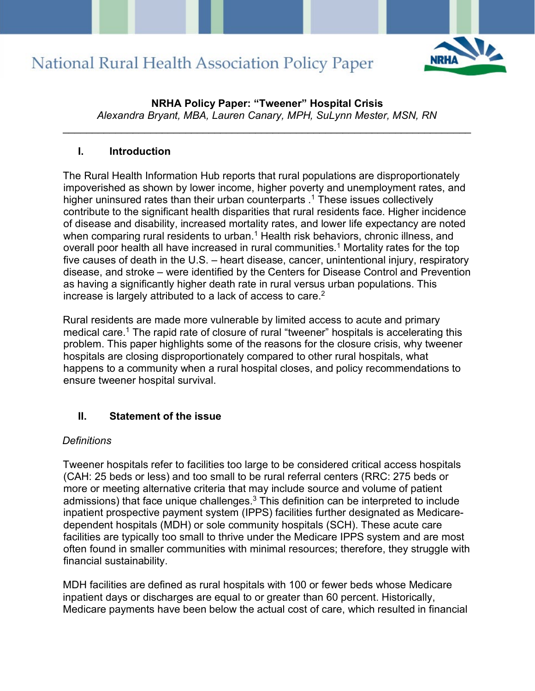

**NRHA Policy Paper: "Tweener" Hospital Crisis**  *Alexandra Bryant, MBA, Lauren Canary, MPH, SuLynn Mester, MSN, RN*

\_\_\_\_\_\_\_\_\_\_\_\_\_\_\_\_\_\_\_\_\_\_\_\_\_\_\_\_\_\_\_\_\_\_\_\_\_\_\_\_\_\_\_\_\_\_\_\_\_\_\_\_\_\_\_\_\_\_\_\_\_\_\_\_\_\_\_\_\_\_

#### **I. Introduction**

The Rural Health Information Hub reports that rural populations are disproportionately impoverished as shown by lower income, higher poverty and unemployment rates, and higher uninsured rates than their urban counterparts .<sup>1</sup> These issues collectively contribute to the significant health disparities that rural residents face. Higher incidence of disease and disability, increased mortality rates, and lower life expectancy are noted when comparing rural residents to urban.<sup>1</sup> Health risk behaviors, chronic illness, and overall poor health all have increased in rural communities.<sup>1</sup> Mortality rates for the top five causes of death in the U.S. – heart disease, cancer, unintentional injury, respiratory disease, and stroke – were identified by the Centers for Disease Control and Prevention as having a significantly higher death rate in rural versus urban populations. This increase is largely attributed to a lack of access to care. $2<sup>2</sup>$ 

Rural residents are made more vulnerable by limited access to acute and primary medical care.<sup>1</sup> The rapid rate of closure of rural "tweener" hospitals is accelerating this problem. This paper highlights some of the reasons for the closure crisis, why tweener hospitals are closing disproportionately compared to other rural hospitals, what happens to a community when a rural hospital closes, and policy recommendations to ensure tweener hospital survival.

### **II. Statement of the issue**

#### *Definitions*

Tweener hospitals refer to facilities too large to be considered critical access hospitals (CAH: 25 beds or less) and too small to be rural referral centers (RRC: 275 beds or more or meeting alternative criteria that may include source and volume of patient admissions) that face unique challenges. $3$  This definition can be interpreted to include inpatient prospective payment system (IPPS) facilities further designated as Medicaredependent hospitals (MDH) or sole community hospitals (SCH). These acute care facilities are typically too small to thrive under the Medicare IPPS system and are most often found in smaller communities with minimal resources; therefore, they struggle with financial sustainability.

MDH facilities are defined as rural hospitals with 100 or fewer beds whose Medicare inpatient days or discharges are equal to or greater than 60 percent. Historically, Medicare payments have been below the actual cost of care, which resulted in financial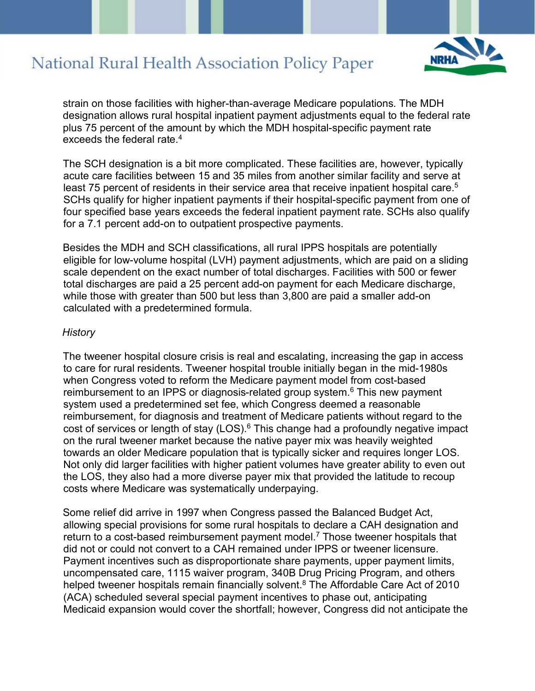

strain on those facilities with higher-than-average Medicare populations. The MDH designation allows rural hospital inpatient payment adjustments equal to the federal rate plus 75 percent of the amount by which the MDH hospital-specific payment rate exceeds the federal rate.4

The SCH designation is a bit more complicated. These facilities are, however, typically acute care facilities between 15 and 35 miles from another similar facility and serve at least 75 percent of residents in their service area that receive inpatient hospital care. $^5$ SCHs qualify for higher inpatient payments if their hospital-specific payment from one of four specified base years exceeds the federal inpatient payment rate. SCHs also qualify for a 7.1 percent add-on to outpatient prospective payments.

Besides the MDH and SCH classifications, all rural IPPS hospitals are potentially eligible for low-volume hospital (LVH) payment adjustments, which are paid on a sliding scale dependent on the exact number of total discharges. Facilities with 500 or fewer total discharges are paid a 25 percent add-on payment for each Medicare discharge, while those with greater than 500 but less than 3,800 are paid a smaller add-on calculated with a predetermined formula.

#### *History*

The tweener hospital closure crisis is real and escalating, increasing the gap in access to care for rural residents. Tweener hospital trouble initially began in the mid-1980s when Congress voted to reform the Medicare payment model from cost-based reimbursement to an IPPS or diagnosis-related group system.<sup>6</sup> This new payment system used a predetermined set fee, which Congress deemed a reasonable reimbursement, for diagnosis and treatment of Medicare patients without regard to the cost of services or length of stay (LOS).<sup>6</sup> This change had a profoundly negative impact on the rural tweener market because the native payer mix was heavily weighted towards an older Medicare population that is typically sicker and requires longer LOS. Not only did larger facilities with higher patient volumes have greater ability to even out the LOS, they also had a more diverse payer mix that provided the latitude to recoup costs where Medicare was systematically underpaying.

Some relief did arrive in 1997 when Congress passed the Balanced Budget Act, allowing special provisions for some rural hospitals to declare a CAH designation and return to a cost-based reimbursement payment model.<sup>7</sup> Those tweener hospitals that did not or could not convert to a CAH remained under IPPS or tweener licensure. Payment incentives such as disproportionate share payments, upper payment limits, uncompensated care, 1115 waiver program, 340B Drug Pricing Program, and others helped tweener hospitals remain financially solvent.<sup>8</sup> The Affordable Care Act of 2010 (ACA) scheduled several special payment incentives to phase out, anticipating Medicaid expansion would cover the shortfall; however, Congress did not anticipate the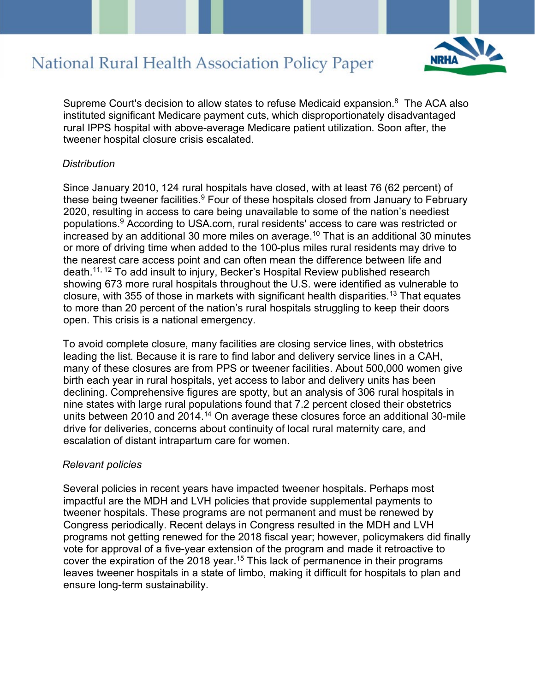

Supreme Court's decision to allow states to refuse Medicaid expansion. $8$  The ACA also instituted significant Medicare payment cuts, which disproportionately disadvantaged rural IPPS hospital with above-average Medicare patient utilization. Soon after, the tweener hospital closure crisis escalated.

#### *Distribution*

Since January 2010, 124 rural hospitals have closed, with at least 76 (62 percent) of these being tweener facilities.<sup>9</sup> Four of these hospitals closed from January to February 2020, resulting in access to care being unavailable to some of the nation's neediest populations.9 According to USA.com, rural residents' access to care was restricted or increased by an additional 30 more miles on average.<sup>10</sup> That is an additional 30 minutes or more of driving time when added to the 100-plus miles rural residents may drive to the nearest care access point and can often mean the difference between life and death.11, 12 To add insult to injury, Becker's Hospital Review published research showing 673 more rural hospitals throughout the U.S. were identified as vulnerable to closure, with 355 of those in markets with significant health disparities.13 That equates to more than 20 percent of the nation's rural hospitals struggling to keep their doors open. This crisis is a national emergency.

To avoid complete closure, many facilities are closing service lines, with obstetrics leading the list. Because it is rare to find labor and delivery service lines in a CAH, many of these closures are from PPS or tweener facilities. About 500,000 women give birth each year in rural hospitals, yet access to labor and delivery units has been declining. Comprehensive figures are spotty, but an analysis of 306 rural hospitals in nine states with large rural populations found that 7.2 percent closed their obstetrics units between 2010 and 2014.<sup>14</sup> On average these closures force an additional 30-mile drive for deliveries, concerns about continuity of local rural maternity care, and escalation of distant intrapartum care for women.

#### *Relevant policies*

Several policies in recent years have impacted tweener hospitals. Perhaps most impactful are the MDH and LVH policies that provide supplemental payments to tweener hospitals. These programs are not permanent and must be renewed by Congress periodically. Recent delays in Congress resulted in the MDH and LVH programs not getting renewed for the 2018 fiscal year; however, policymakers did finally vote for approval of a five-year extension of the program and made it retroactive to cover the expiration of the 2018 year.<sup>15</sup> This lack of permanence in their programs leaves tweener hospitals in a state of limbo, making it difficult for hospitals to plan and ensure long-term sustainability.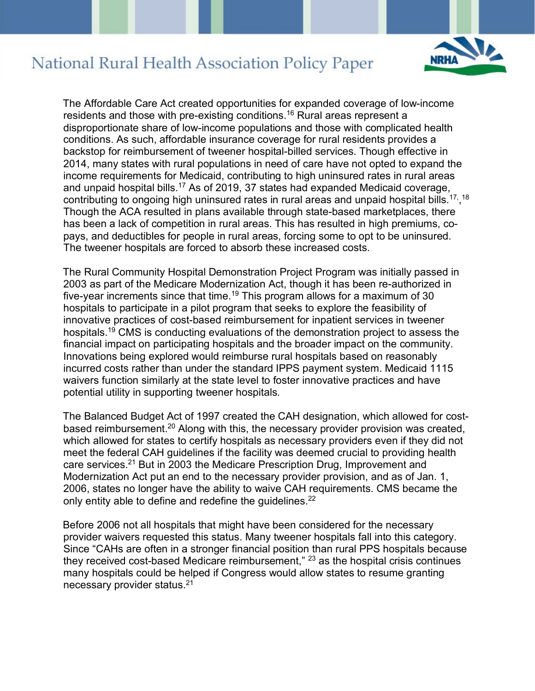

The Affordable Care Act created opportunities for expanded coverage of low-income residents and those with pre-existing conditions.<sup>16</sup> Rural areas represent a disproportionate share of low-income populations and those with complicated health conditions. As such, affordable insurance coverage for rural residents provides a backstop for reimbursement of tweener hospital-billed services. Though effective in 2014, many states with rural populations in need of care have not opted to expand the income requirements for Medicaid, contributing to high uninsured rates in rural areas and unpaid hospital bills.17 As of 2019, 37 states had expanded Medicaid coverage, contributing to ongoing high uninsured rates in rural areas and unpaid hospital bills. $^{\mathsf{17},\, \mathsf{18}}$ Though the ACA resulted in plans available through state-based marketplaces, there has been a lack of competition in rural areas. This has resulted in high premiums, copays, and deductibles for people in rural areas, forcing some to opt to be uninsured. The tweener hospitals are forced to absorb these increased costs.

The Rural Community Hospital Demonstration Project Program was initially passed in 2003 as part of the Medicare Modernization Act, though it has been re-authorized in five-year increments since that time.<sup>19</sup> This program allows for a maximum of 30 hospitals to participate in a pilot program that seeks to explore the feasibility of innovative practices of cost-based reimbursement for inpatient services in tweener hospitals.<sup>19</sup> CMS is conducting evaluations of the demonstration project to assess the financial impact on participating hospitals and the broader impact on the community. Innovations being explored would reimburse rural hospitals based on reasonably incurred costs rather than under the standard IPPS payment system. Medicaid 1115 waivers function similarly at the state level to foster innovative practices and have potential utility in supporting tweener hospitals.

The Balanced Budget Act of 1997 created the CAH designation, which allowed for costbased reimbursement.20 Along with this, the necessary provider provision was created, which allowed for states to certify hospitals as necessary providers even if they did not meet the federal CAH guidelines if the facility was deemed crucial to providing health care services.<sup>21</sup> But in 2003 the Medicare Prescription Drug, Improvement and Modernization Act put an end to the necessary provider provision, and as of Jan. 1, 2006, states no longer have the ability to waive CAH requirements. CMS became the only entity able to define and redefine the quidelines.<sup>22</sup>

Before 2006 not all hospitals that might have been considered for the necessary provider waivers requested this status. Many tweener hospitals fall into this category. Since "CAHs are often in a stronger financial position than rural PPS hospitals because they received cost-based Medicare reimbursement," 23 as the hospital crisis continues many hospitals could be helped if Congress would allow states to resume granting necessary provider status. 21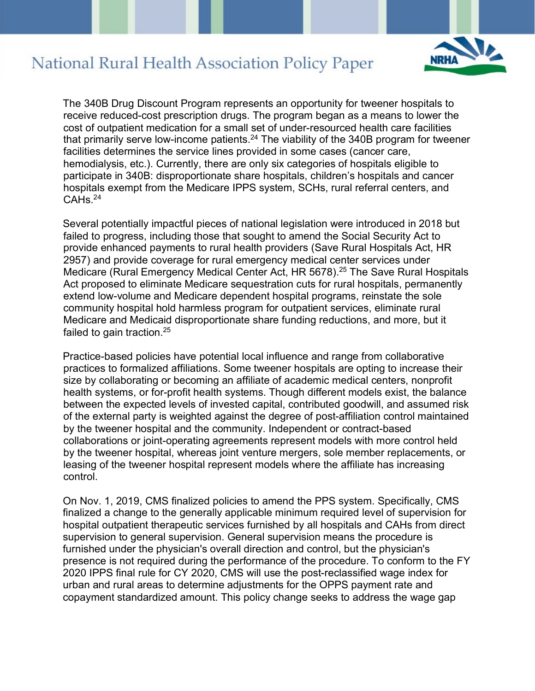

The 340B Drug Discount Program represents an opportunity for tweener hospitals to receive reduced-cost prescription drugs. The program began as a means to lower the cost of outpatient medication for a small set of under-resourced health care facilities that primarily serve low-income patients.<sup>24</sup> The viability of the 340B program for tweener facilities determines the service lines provided in some cases (cancer care, hemodialysis, etc.). Currently, there are only six categories of hospitals eligible to participate in 340B: disproportionate share hospitals, children's hospitals and cancer hospitals exempt from the Medicare IPPS system, SCHs, rural referral centers, and  $CAHs. <sup>24</sup>$ 

Several potentially impactful pieces of national legislation were introduced in 2018 but failed to progress, including those that sought to amend the Social Security Act to provide enhanced payments to rural health providers (Save Rural Hospitals Act, HR 2957) and provide coverage for rural emergency medical center services under Medicare (Rural Emergency Medical Center Act, HR 5678).<sup>25</sup> The Save Rural Hospitals Act proposed to eliminate Medicare sequestration cuts for rural hospitals, permanently extend low-volume and Medicare dependent hospital programs, reinstate the sole community hospital hold harmless program for outpatient services, eliminate rural Medicare and Medicaid disproportionate share funding reductions, and more, but it failed to gain traction.<sup>25</sup>

Practice-based policies have potential local influence and range from collaborative practices to formalized affiliations. Some tweener hospitals are opting to increase their size by collaborating or becoming an affiliate of academic medical centers, nonprofit health systems, or for-profit health systems. Though different models exist, the balance between the expected levels of invested capital, contributed goodwill, and assumed risk of the external party is weighted against the degree of post-affiliation control maintained by the tweener hospital and the community. Independent or contract-based collaborations or joint-operating agreements represent models with more control held by the tweener hospital, whereas joint venture mergers, sole member replacements, or leasing of the tweener hospital represent models where the affiliate has increasing control.

On Nov. 1, 2019, CMS finalized policies to amend the PPS system. Specifically, CMS finalized a change to the generally applicable minimum required level of supervision for hospital outpatient therapeutic services furnished by all hospitals and CAHs from direct supervision to general supervision. General supervision means the procedure is furnished under the physician's overall direction and control, but the physician's presence is not required during the performance of the procedure. To conform to the FY 2020 IPPS final rule for CY 2020, CMS will use the post-reclassified wage index for urban and rural areas to determine adjustments for the OPPS payment rate and copayment standardized amount. This policy change seeks to address the wage gap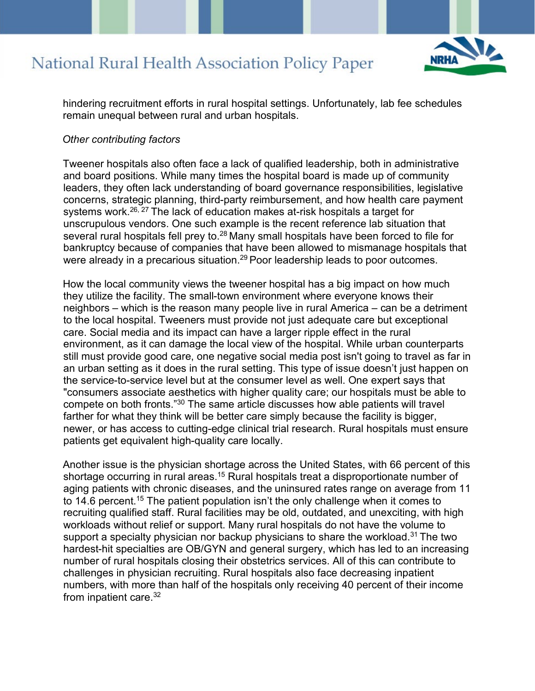

hindering recruitment efforts in rural hospital settings. Unfortunately, lab fee schedules remain unequal between rural and urban hospitals.

#### *Other contributing factors*

Tweener hospitals also often face a lack of qualified leadership, both in administrative and board positions. While many times the hospital board is made up of community leaders, they often lack understanding of board governance responsibilities, legislative concerns, strategic planning, third-party reimbursement, and how health care payment systems work.<sup>26, 27</sup> The lack of education makes at-risk hospitals a target for unscrupulous vendors. One such example is the recent reference lab situation that several rural hospitals fell prey to.<sup>28</sup> Many small hospitals have been forced to file for bankruptcy because of companies that have been allowed to mismanage hospitals that were already in a precarious situation.<sup>29</sup> Poor leadership leads to poor outcomes.

How the local community views the tweener hospital has a big impact on how much they utilize the facility. The small-town environment where everyone knows their neighbors – which is the reason many people live in rural America – can be a detriment to the local hospital. Tweeners must provide not just adequate care but exceptional care. Social media and its impact can have a larger ripple effect in the rural environment, as it can damage the local view of the hospital. While urban counterparts still must provide good care, one negative social media post isn't going to travel as far in an urban setting as it does in the rural setting. This type of issue doesn't just happen on the service-to-service level but at the consumer level as well. One expert says that "consumers associate aesthetics with higher quality care; our hospitals must be able to compete on both fronts."<sup>30</sup> The same article discusses how able patients will travel farther for what they think will be better care simply because the facility is bigger, newer, or has access to cutting-edge clinical trial research. Rural hospitals must ensure patients get equivalent high-quality care locally.

Another issue is the physician shortage across the United States, with 66 percent of this shortage occurring in rural areas.<sup>15</sup> Rural hospitals treat a disproportionate number of aging patients with chronic diseases, and the uninsured rates range on average from 11 to 14.6 percent.<sup>15</sup> The patient population isn't the only challenge when it comes to recruiting qualified staff. Rural facilities may be old, outdated, and unexciting, with high workloads without relief or support. Many rural hospitals do not have the volume to support a specialty physician nor backup physicians to share the workload.<sup>31</sup> The two hardest-hit specialties are OB/GYN and general surgery, which has led to an increasing number of rural hospitals closing their obstetrics services. All of this can contribute to challenges in physician recruiting. Rural hospitals also face decreasing inpatient numbers, with more than half of the hospitals only receiving 40 percent of their income from inpatient care.<sup>32</sup>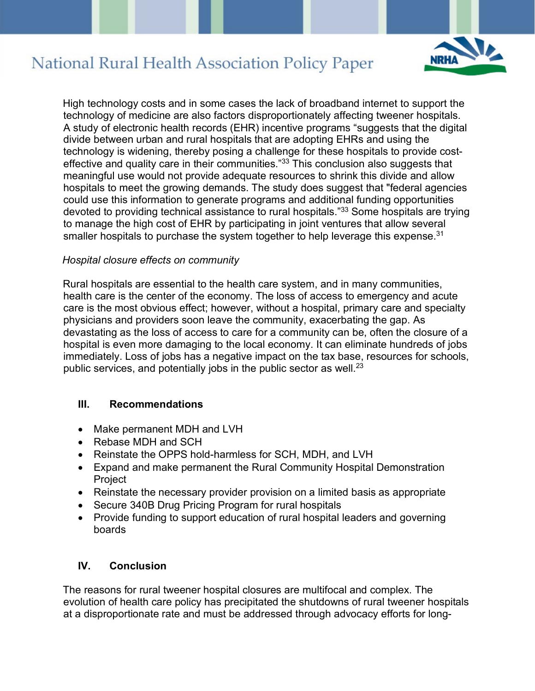

High technology costs and in some cases the lack of broadband internet to support the technology of medicine are also factors disproportionately affecting tweener hospitals. A study of electronic health records (EHR) incentive programs "suggests that the digital divide between urban and rural hospitals that are adopting EHRs and using the technology is widening, thereby posing a challenge for these hospitals to provide costeffective and quality care in their communities."<sup>33</sup> This conclusion also suggests that meaningful use would not provide adequate resources to shrink this divide and allow hospitals to meet the growing demands. The study does suggest that "federal agencies could use this information to generate programs and additional funding opportunities devoted to providing technical assistance to rural hospitals."33 Some hospitals are trying to manage the high cost of EHR by participating in joint ventures that allow several smaller hospitals to purchase the system together to help leverage this expense.<sup>31</sup>

#### *Hospital closure effects on community*

Rural hospitals are essential to the health care system, and in many communities, health care is the center of the economy. The loss of access to emergency and acute care is the most obvious effect; however, without a hospital, primary care and specialty physicians and providers soon leave the community, exacerbating the gap. As devastating as the loss of access to care for a community can be, often the closure of a hospital is even more damaging to the local economy. It can eliminate hundreds of jobs immediately. Loss of jobs has a negative impact on the tax base, resources for schools, public services, and potentially jobs in the public sector as well. $^{23}$ 

#### **III. Recommendations**

- Make permanent MDH and LVH
- Rebase MDH and SCH
- Reinstate the OPPS hold-harmless for SCH, MDH, and LVH
- Expand and make permanent the Rural Community Hospital Demonstration Project
- Reinstate the necessary provider provision on a limited basis as appropriate
- Secure 340B Drug Pricing Program for rural hospitals
- Provide funding to support education of rural hospital leaders and governing boards

#### **IV. Conclusion**

The reasons for rural tweener hospital closures are multifocal and complex. The evolution of health care policy has precipitated the shutdowns of rural tweener hospitals at a disproportionate rate and must be addressed through advocacy efforts for long-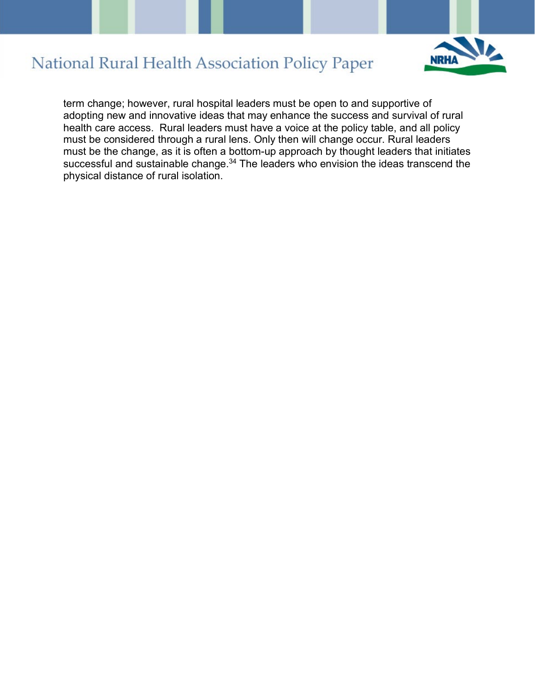

term change; however, rural hospital leaders must be open to and supportive of adopting new and innovative ideas that may enhance the success and survival of rural health care access. Rural leaders must have a voice at the policy table, and all policy must be considered through a rural lens. Only then will change occur. Rural leaders must be the change, as it is often a bottom-up approach by thought leaders that initiates successful and sustainable change.<sup>34</sup> The leaders who envision the ideas transcend the physical distance of rural isolation.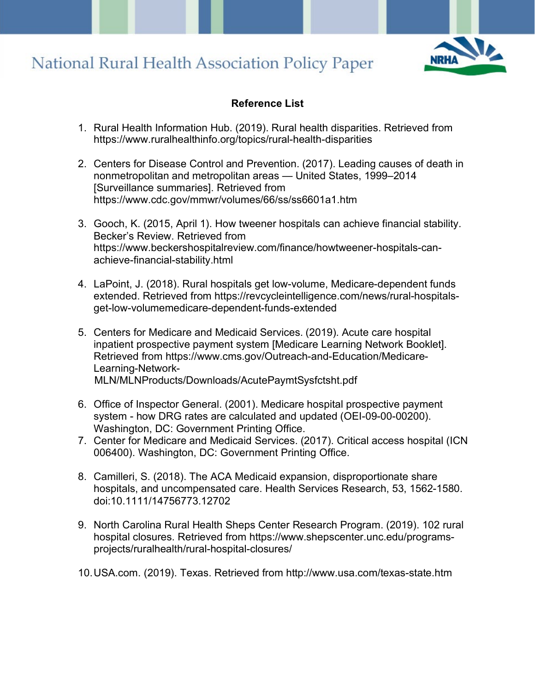

### **Reference List**

- 1. Rural Health Information Hub. (2019). Rural health disparities. Retrieved from https://www.ruralhealthinfo.org/topics/rural-health-disparities
- 2. Centers for Disease Control and Prevention. (2017). Leading causes of death in nonmetropolitan and metropolitan areas — United States, 1999–2014 [Surveillance summaries]. Retrieved from https://www.cdc.gov/mmwr/volumes/66/ss/ss6601a1.htm
- 3. Gooch, K. (2015, April 1). How tweener hospitals can achieve financial stability. Becker's Review. Retrieved from https://www.beckershospitalreview.com/finance/howtweener-hospitals-canachieve-financial-stability.html
- 4. LaPoint, J. (2018). Rural hospitals get low-volume, Medicare-dependent funds extended. Retrieved from https://revcycleintelligence.com/news/rural-hospitalsget-low-volumemedicare-dependent-funds-extended
- 5. Centers for Medicare and Medicaid Services. (2019). Acute care hospital inpatient prospective payment system [Medicare Learning Network Booklet]. Retrieved from https://www.cms.gov/Outreach-and-Education/Medicare-Learning-Network-MLN/MLNProducts/Downloads/AcutePaymtSysfctsht.pdf
- 6. Office of Inspector General. (2001). Medicare hospital prospective payment system - how DRG rates are calculated and updated (OEI-09-00-00200). Washington, DC: Government Printing Office.
- 7. Center for Medicare and Medicaid Services. (2017). Critical access hospital (ICN 006400). Washington, DC: Government Printing Office.
- 8. Camilleri, S. (2018). The ACA Medicaid expansion, disproportionate share hospitals, and uncompensated care. Health Services Research, 53, 1562-1580. doi:10.1111/14756773.12702
- 9. North Carolina Rural Health Sheps Center Research Program. (2019). 102 rural hospital closures. Retrieved from https://www.shepscenter.unc.edu/programsprojects/ruralhealth/rural-hospital-closures/
- 10.USA.com. (2019). Texas. Retrieved from http://www.usa.com/texas-state.htm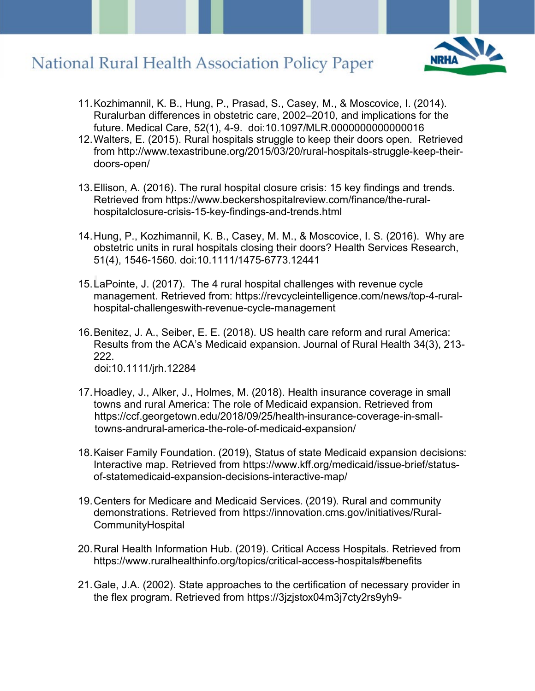

- 11.Kozhimannil, K. B., Hung, P., Prasad, S., Casey, M., & Moscovice, I. (2014). Ruralurban differences in obstetric care, 2002–2010, and implications for the future. Medical Care, 52(1), 4-9. doi:10.1097/MLR.0000000000000016
- 12.Walters, E. (2015). Rural hospitals struggle to keep their doors open. Retrieved from http://www.texastribune.org/2015/03/20/rural-hospitals-struggle-keep-theirdoors-open/
- 13.Ellison, A. (2016). The rural hospital closure crisis: 15 key findings and trends. Retrieved from https://www.beckershospitalreview.com/finance/the-ruralhospitalclosure-crisis-15-key-findings-and-trends.html
- 14.Hung, P., Kozhimannil, K. B., Casey, M. M., & Moscovice, I. S. (2016). Why are obstetric units in rural hospitals closing their doors? Health Services Research, 51(4), 1546-1560. doi:10.1111/1475-6773.12441
- 15.LaPointe, J. (2017). The 4 rural hospital challenges with revenue cycle management. Retrieved from: https://revcycleintelligence.com/news/top-4-ruralhospital-challengeswith-revenue-cycle-management
- 16.Benitez, J. A., Seiber, E. E. (2018). US health care reform and rural America: Results from the ACA's Medicaid expansion. Journal of Rural Health 34(3), 213- 222. doi:10.1111/jrh.12284
- 17.Hoadley, J., Alker, J., Holmes, M. (2018). Health insurance coverage in small towns and rural America: The role of Medicaid expansion. Retrieved from https://ccf.georgetown.edu/2018/09/25/health-insurance-coverage-in-smalltowns-andrural-america-the-role-of-medicaid-expansion/
- 18.Kaiser Family Foundation. (2019), Status of state Medicaid expansion decisions: Interactive map. Retrieved from https://www.kff.org/medicaid/issue-brief/statusof-statemedicaid-expansion-decisions-interactive-map/
- 19.Centers for Medicare and Medicaid Services. (2019). Rural and community demonstrations. Retrieved from https://innovation.cms.gov/initiatives/Rural-**CommunityHospital**
- 20.Rural Health Information Hub. (2019). Critical Access Hospitals. Retrieved from https://www.ruralhealthinfo.org/topics/critical-access-hospitals#benefits
- 21.Gale, J.A. (2002). State approaches to the certification of necessary provider in the flex program. Retrieved from https://3jzjstox04m3j7cty2rs9yh9-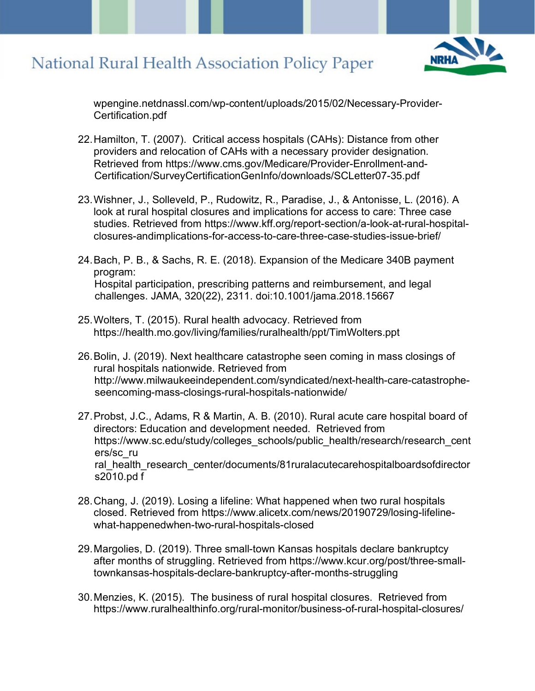

wpengine.netdnassl.com/wp-content/uploads/2015/02/Necessary-Provider-Certification.pdf

- 22.Hamilton, T. (2007). Critical access hospitals (CAHs): Distance from other providers and relocation of CAHs with a necessary provider designation. Retrieved from https://www.cms.gov/Medicare/Provider-Enrollment-and-Certification/SurveyCertificationGenInfo/downloads/SCLetter07-35.pdf
- 23.Wishner, J., Solleveld, P., Rudowitz, R., Paradise, J., & Antonisse, L. (2016). A look at rural hospital closures and implications for access to care: Three case studies. Retrieved from https://www.kff.org/report-section/a-look-at-rural-hospitalclosures-andimplications-for-access-to-care-three-case-studies-issue-brief/
- 24.Bach, P. B., & Sachs, R. E. (2018). Expansion of the Medicare 340B payment program: Hospital participation, prescribing patterns and reimbursement, and legal challenges. JAMA, 320(22), 2311. doi:10.1001/jama.2018.15667
- 25.Wolters, T. (2015). Rural health advocacy. Retrieved from https://health.mo.gov/living/families/ruralhealth/ppt/TimWolters.ppt
- 26.Bolin, J. (2019). Next healthcare catastrophe seen coming in mass closings of rural hospitals nationwide. Retrieved from http://www.milwaukeeindependent.com/syndicated/next-health-care-catastropheseencoming-mass-closings-rural-hospitals-nationwide/
- 27.Probst, J.C., Adams, R & Martin, A. B. (2010). Rural acute care hospital board of directors: Education and development needed. Retrieved from https://www.sc.edu/study/colleges\_schools/public\_health/research/research\_cent ers/sc\_ru ral\_health\_research\_center/documents/81ruralacutecarehospitalboardsofdirector s2010.pd f
- 28.Chang, J. (2019). Losing a lifeline: What happened when two rural hospitals closed. Retrieved from https://www.alicetx.com/news/20190729/losing-lifelinewhat-happenedwhen-two-rural-hospitals-closed
- 29.Margolies, D. (2019). Three small-town Kansas hospitals declare bankruptcy after months of struggling. Retrieved from https://www.kcur.org/post/three-smalltownkansas-hospitals-declare-bankruptcy-after-months-struggling
- 30.Menzies, K. (2015). The business of rural hospital closures. Retrieved from https://www.ruralhealthinfo.org/rural-monitor/business-of-rural-hospital-closures/